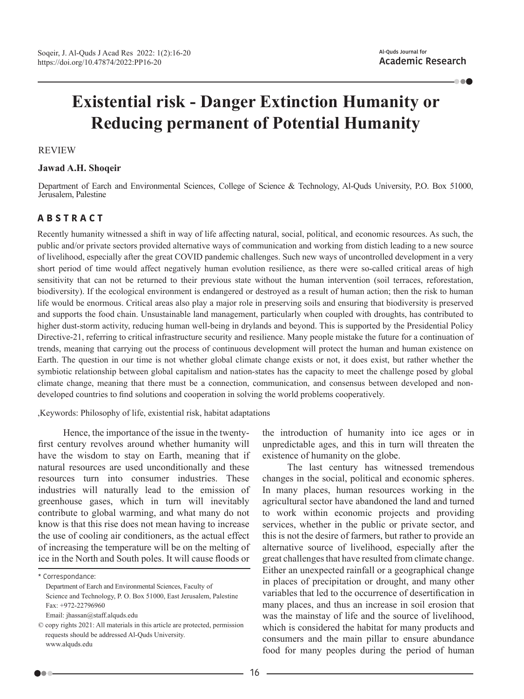**DOC** 

# **Existential risk - Danger Extinction Humanity or Reducing permanent of Potential Humanity**

#### REVIEW

#### **Jawad A.H. Shoqeir**

Department of Earch and Environmental Sciences, College of Science & Technology, Al-Quds University, P.O. Box 51000, Jerusalem, Palestine

## **A B S T R A C T**

Recently humanity witnessed a shift in way of life affecting natural, social, political, and economic resources. As such, the public and/or private sectors provided alternative ways of communication and working from distich leading to a new source of livelihood, especially after the great COVID pandemic challenges. Such new ways of uncontrolled development in a very short period of time would affect negatively human evolution resilience, as there were so-called critical areas of high sensitivity that can not be returned to their previous state without the human intervention (soil terraces, reforestation, biodiversity). If the ecological environment is endangered or destroyed as a result of human action; then the risk to human life would be enormous. Critical areas also play a major role in preserving soils and ensuring that biodiversity is preserved and supports the food chain. Unsustainable land management, particularly when coupled with droughts, has contributed to higher dust-storm activity, reducing human well-being in drylands and beyond. This is supported by the Presidential Policy Directive-21, referring to critical infrastructure security and resilience. Many people mistake the future for a continuation of trends, meaning that carrying out the process of continuous development will protect the human and human existence on Earth. The question in our time is not whether global climate change exists or not, it does exist, but rather whether the symbiotic relationship between global capitalism and nation-states has the capacity to meet the challenge posed by global climate change, meaning that there must be a connection, communication, and consensus between developed and nondeveloped countries to find solutions and cooperation in solving the world problems cooperatively.

,Keywords: Philosophy of life, existential risk, habitat adaptations

Hence, the importance of the issue in the twentyfirst century revolves around whether humanity will have the wisdom to stay on Earth, meaning that if natural resources are used unconditionally and these resources turn into consumer industries. These industries will naturally lead to the emission of greenhouse gases, which in turn will inevitably contribute to global warming, and what many do not know is that this rise does not mean having to increase the use of cooling air conditioners, as the actual effect of increasing the temperature will be on the melting of ice in the North and South poles. It will cause floods or

the introduction of humanity into ice ages or in unpredictable ages, and this in turn will threaten the existence of humanity on the globe.

The last century has witnessed tremendous changes in the social, political and economic spheres. In many places, human resources working in the agricultural sector have abandoned the land and turned to work within economic projects and providing services, whether in the public or private sector, and this is not the desire of farmers, but rather to provide an alternative source of livelihood, especially after the great challenges that have resulted from climate change. Either an unexpected rainfall or a geographical change in places of precipitation or drought, and many other variables that led to the occurrence of desertification in many places, and thus an increase in soil erosion that was the mainstay of life and the source of livelihood, which is considered the habitat for many products and consumers and the main pillar to ensure abundance food for many peoples during the period of human

<sup>\*</sup> Correspondance:

Department of Earch and Environmental Sciences, Faculty of Science and Technology, P. O. Box 51000, East Jerusalem, Palestine Fax: +972-22796960

Email: jhassan@staff.alquds.edu

<sup>©</sup> copy rights 2021: All materials in this article are protected, permission requests should be addressed Al-Quds University. www.alquds.edu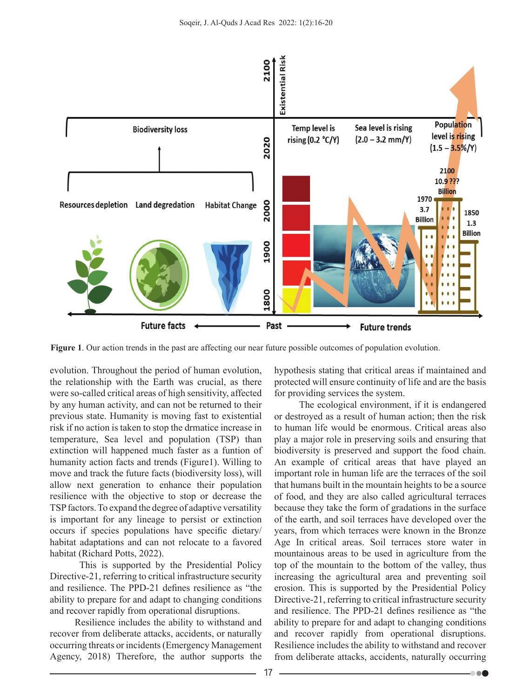

**Figure 1**. Our action trends in the past are affecting our near future possible outcomes of population evolution.

evolution. Throughout the period of human evolution, the relationship with the Earth was crucial, as there were so-called critical areas of high sensitivity, affected by any human activity, and can not be returned to their previous state. Humanity is moving fast to existential risk if no action is taken to stop the drmatice increase in temperature, Sea level and population (TSP) than extinction will happened much faster as a funtion of humanity action facts and trends (Figure1). Willing to move and track the future facts (biodiversity loss), will allow next generation to enhance their population resilience with the objective to stop or decrease the TSP factors. To expand the degree of adaptive versatility is important for any lineage to persist or extinction occurs if species populations have specific dietary/ habitat adaptations and can not relocate to a favored habitat (Richard Potts, 2022).

 This is supported by the Presidential Policy Directive-21, referring to critical infrastructure security and resilience. The PPD-21 defines resilience as "the ability to prepare for and adapt to changing conditions and recover rapidly from operational disruptions.

Resilience includes the ability to withstand and recover from deliberate attacks, accidents, or naturally occurring threats or incidents (Emergency Management Agency, 2018) Therefore, the author supports the hypothesis stating that critical areas if maintained and protected will ensure continuity of life and are the basis for providing services the system.

The ecological environment, if it is endangered or destroyed as a result of human action; then the risk to human life would be enormous. Critical areas also play a major role in preserving soils and ensuring that biodiversity is preserved and support the food chain. An example of critical areas that have played an important role in human life are the terraces of the soil that humans built in the mountain heights to be a source of food, and they are also called agricultural terraces because they take the form of gradations in the surface of the earth, and soil terraces have developed over the years, from which terraces were known in the Bronze Age In critical areas. Soil terraces store water in mountainous areas to be used in agriculture from the top of the mountain to the bottom of the valley, thus increasing the agricultural area and preventing soil erosion. This is supported by the Presidential Policy Directive-21, referring to critical infrastructure security and resilience. The PPD-21 defines resilience as "the ability to prepare for and adapt to changing conditions and recover rapidly from operational disruptions. Resilience includes the ability to withstand and recover from deliberate attacks, accidents, naturally occurring

60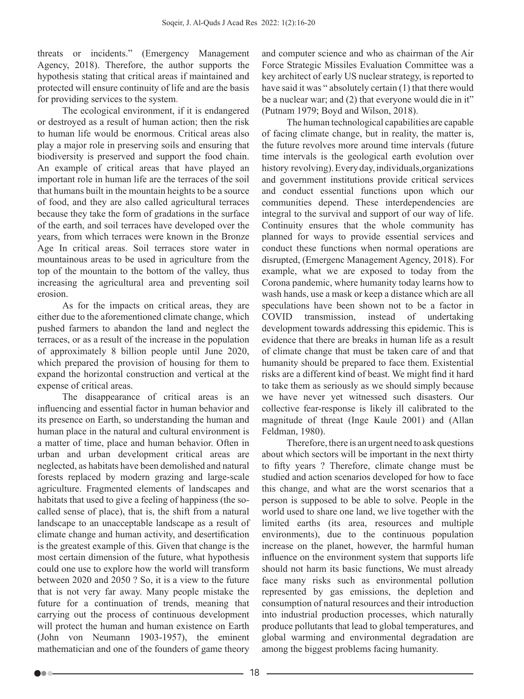threats or incidents." (Emergency Management Agency, 2018). Therefore, the author supports the hypothesis stating that critical areas if maintained and protected will ensure continuity of life and are the basis for providing services to the system.

The ecological environment, if it is endangered or destroyed as a result of human action; then the risk to human life would be enormous. Critical areas also play a major role in preserving soils and ensuring that biodiversity is preserved and support the food chain. An example of critical areas that have played an important role in human life are the terraces of the soil that humans built in the mountain heights to be a source of food, and they are also called agricultural terraces because they take the form of gradations in the surface of the earth, and soil terraces have developed over the years, from which terraces were known in the Bronze Age In critical areas. Soil terraces store water in mountainous areas to be used in agriculture from the top of the mountain to the bottom of the valley, thus increasing the agricultural area and preventing soil erosion.

As for the impacts on critical areas, they are either due to the aforementioned climate change, which pushed farmers to abandon the land and neglect the terraces, or as a result of the increase in the population of approximately 8 billion people until June 2020, which prepared the provision of housing for them to expand the horizontal construction and vertical at the expense of critical areas.

The disappearance of critical areas is an influencing and essential factor in human behavior and its presence on Earth, so understanding the human and human place in the natural and cultural environment is a matter of time, place and human behavior. Often in urban and urban development critical areas are neglected, as habitats have been demolished and natural forests replaced by modern grazing and large-scale agriculture. Fragmented elements of landscapes and habitats that used to give a feeling of happiness (the socalled sense of place), that is, the shift from a natural landscape to an unacceptable landscape as a result of climate change and human activity, and desertification is the greatest example of this. Given that change is the most certain dimension of the future, what hypothesis could one use to explore how the world will transform between 2020 and 2050 ? So, it is a view to the future that is not very far away. Many people mistake the future for a continuation of trends, meaning that carrying out the process of continuous development will protect the human and human existence on Earth (John von Neumann 1903-1957), the eminent mathematician and one of the founders of game theory

and computer science and who as chairman of the Air Force Strategic Missiles Evaluation Committee was a key architect of early US nuclear strategy, is reported to have said it was " absolutely certain (1) that there would be a nuclear war; and (2) that everyone would die in it" (Putnam 1979; Boyd and Wilson, 2018).

The human technological capabilities are capable of facing climate change, but in reality, the matter is, the future revolves more around time intervals (future time intervals is the geological earth evolution over history revolving). Every day, individuals,organizations and government institutions provide critical services and conduct essential functions upon which our communities depend. These interdependencies are integral to the survival and support of our way of life. Continuity ensures that the whole community has planned for ways to provide essential services and conduct these functions when normal operations are disrupted, (Emergenc Management Agency, 2018). For example, what we are exposed to today from the Corona pandemic, where humanity today learns how to wash hands, use a mask or keep a distance which are all speculations have been shown not to be a factor in COVID transmission, instead of undertaking development towards addressing this epidemic. This is evidence that there are breaks in human life as a result of climate change that must be taken care of and that humanity should be prepared to face them. Existential risks are a different kind of beast. We might find it hard to take them as seriously as we should simply because we have never yet witnessed such disasters. Our collective fear-response is likely ill calibrated to the magnitude of threat (Inge Kaule 2001) and (Allan Feldman, 1980).

Therefore, there is an urgent need to ask questions about which sectors will be important in the next thirty to fifty years ? Therefore, climate change must be studied and action scenarios developed for how to face this change, and what are the worst scenarios that a person is supposed to be able to solve. People in the world used to share one land, we live together with the limited earths (its area, resources and multiple environments), due to the continuous population increase on the planet, however, the harmful human influence on the environment system that supports life should not harm its basic functions, We must already face many risks such as environmental pollution represented by gas emissions, the depletion and consumption of natural resources and their introduction into industrial production processes, which naturally produce pollutants that lead to global temperatures, and global warming and environmental degradation are among the biggest problems facing humanity.

- 18

Do e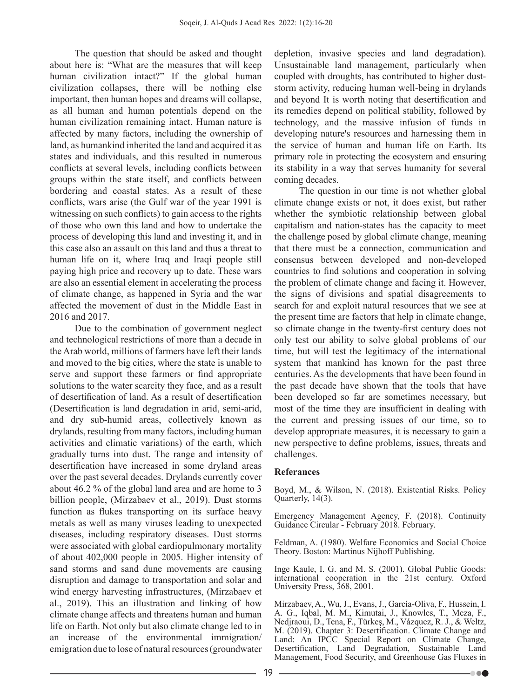The question that should be asked and thought about here is: "What are the measures that will keep human civilization intact?" If the global human civilization collapses, there will be nothing else important, then human hopes and dreams will collapse, as all human and human potentials depend on the human civilization remaining intact. Human nature is affected by many factors, including the ownership of land, as humankind inherited the land and acquired it as states and individuals, and this resulted in numerous conflicts at several levels, including conflicts between groups within the state itself, and conflicts between bordering and coastal states. As a result of these conflicts, wars arise (the Gulf war of the year 1991 is witnessing on such conflicts) to gain access to the rights of those who own this land and how to undertake the process of developing this land and investing it, and in this case also an assault on this land and thus a threat to human life on it, where Iraq and Iraqi people still paying high price and recovery up to date. These wars are also an essential element in accelerating the process of climate change, as happened in Syria and the war affected the movement of dust in the Middle East in 2016 and 2017.

Due to the combination of government neglect and technological restrictions of more than a decade in the Arab world, millions of farmers have left their lands and moved to the big cities, where the state is unable to serve and support these farmers or find appropriate solutions to the water scarcity they face, and as a result of desertification of land. As a result of desertification (Desertification is land degradation in arid, semi-arid, and dry sub-humid areas, collectively known as drylands, resulting from many factors, including human activities and climatic variations) of the earth, which gradually turns into dust. The range and intensity of desertification have increased in some dryland areas over the past several decades. Drylands currently cover about 46.2 % of the global land area and are home to 3 billion people, (Mirzabaev et al., 2019). Dust storms function as flukes transporting on its surface heavy metals as well as many viruses leading to unexpected diseases, including respiratory diseases. Dust storms were associated with global cardiopulmonary mortality of about 402,000 people in 2005. Higher intensity of sand storms and sand dune movements are causing disruption and damage to transportation and solar and wind energy harvesting infrastructures, (Mirzabaev et al., 2019). This an illustration and linking of how climate change affects and threatens human and human life on Earth. Not only but also climate change led to in an increase of the environmental immigration/ emigration due to lose of natural resources (groundwater

depletion, invasive species and land degradation). Unsustainable land management, particularly when coupled with droughts, has contributed to higher duststorm activity, reducing human well-being in drylands and beyond It is worth noting that desertification and its remedies depend on political stability, followed by technology, and the massive infusion of funds in developing nature's resources and harnessing them in the service of human and human life on Earth. Its primary role in protecting the ecosystem and ensuring its stability in a way that serves humanity for several coming decades.

The question in our time is not whether global climate change exists or not, it does exist, but rather whether the symbiotic relationship between global capitalism and nation-states has the capacity to meet the challenge posed by global climate change, meaning that there must be a connection, communication and consensus between developed and non-developed countries to find solutions and cooperation in solving the problem of climate change and facing it. However, the signs of divisions and spatial disagreements to search for and exploit natural resources that we see at the present time are factors that help in climate change, so climate change in the twenty-first century does not only test our ability to solve global problems of our time, but will test the legitimacy of the international system that mankind has known for the past three centuries. As the developments that have been found in the past decade have shown that the tools that have been developed so far are sometimes necessary, but most of the time they are insufficient in dealing with the current and pressing issues of our time, so to develop appropriate measures, it is necessary to gain a new perspective to define problems, issues, threats and challenges.

### **Referances**

Boyd, M., & Wilson, N. (2018). Existential Risks. Policy Quarterly, 14(3).

Emergency Management Agency, F. (2018). Continuity Guidance Circular - February 2018. February.

Feldman, A. (1980). Welfare Economics and Social Choice Theory. Boston: Martinus Nijhoff Publishing.

Inge Kaule, I. G. and M. S. (2001). Global Public Goods: international cooperation in the 21st century. Oxford University Press, 368, 2001.

Mirzabaev, A., Wu, J., Evans, J., García-Oliva, F., Hussein, I. A. G., Iqbal, M. M., Kimutai, J., Knowles, T., Meza, F., Nedjraoui, D., Tena, F., Türkeş, M., Vázquez, R. J., & Weltz, M. (2019). Chapter 3: Desertification. Climate Change and Land: An IPCC Special Report on Climate Change, Desertification, Land Degradation, Sustainable Land Management, Food Security, and Greenhouse Gas Fluxes in

-000